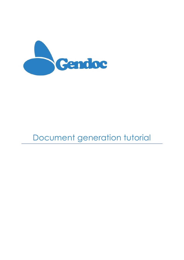

# Document generation tutorial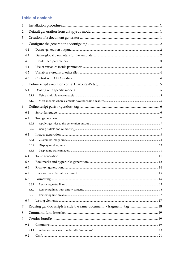# **Table of contents**

| 1 |       |                                                                                 |  |  |
|---|-------|---------------------------------------------------------------------------------|--|--|
| 2 |       |                                                                                 |  |  |
| 3 |       |                                                                                 |  |  |
| 4 |       |                                                                                 |  |  |
|   | 4.1   |                                                                                 |  |  |
|   | 4.2   |                                                                                 |  |  |
|   | 4.3   |                                                                                 |  |  |
|   | 4.4   |                                                                                 |  |  |
|   | 4.5   |                                                                                 |  |  |
|   | 4.6   |                                                                                 |  |  |
| 5 |       |                                                                                 |  |  |
|   | 5.1   |                                                                                 |  |  |
|   | 5.1.1 |                                                                                 |  |  |
|   | 5.1.2 |                                                                                 |  |  |
| 6 |       |                                                                                 |  |  |
|   | 6.1   |                                                                                 |  |  |
|   | 6.2   |                                                                                 |  |  |
|   | 6.2.1 |                                                                                 |  |  |
|   | 6.2.2 |                                                                                 |  |  |
|   | 6.3   |                                                                                 |  |  |
|   | 6.3.1 |                                                                                 |  |  |
|   | 6.3.2 |                                                                                 |  |  |
|   | 6.3.3 |                                                                                 |  |  |
|   | 6.4   |                                                                                 |  |  |
|   | 6.5   |                                                                                 |  |  |
|   | 6.6   |                                                                                 |  |  |
|   | 6.7   |                                                                                 |  |  |
|   | 6.8   |                                                                                 |  |  |
|   | 6.8.1 |                                                                                 |  |  |
|   | 6.8.2 |                                                                                 |  |  |
|   | 6.8.3 |                                                                                 |  |  |
|   | 6.9   |                                                                                 |  |  |
| 7 |       | Reusing gendoc scripts inside the same document : <fragment> tag  18</fragment> |  |  |
| 8 |       |                                                                                 |  |  |
| 9 |       |                                                                                 |  |  |
|   | 9.1   |                                                                                 |  |  |
|   | 9.1.1 |                                                                                 |  |  |
|   | 9.2   |                                                                                 |  |  |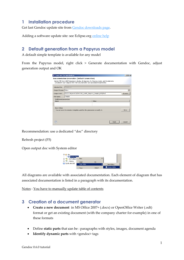# <span id="page-3-0"></span>**1 Installation procedure**

Get last Gendoc update site from [Gendoc downloads page.](https://www.eclipse.org/gendoc/downloads/download.php)

Adding a software update site: see Eclipse.org [online help](http://help.eclipse.org/juno/index.jsp?topic=/org.eclipse.platform.doc.user/tasks/tasks-127.htm)

# <span id="page-3-1"></span>**2 Default generation from a Papyrus model**

A default simple template is available for any model

From the Papyrus model, right click > Generate documentation with Gendoc, adjust generation output and OK

| Generate Documentation<br>- 101                                                  |            |                                                                                                                                                                              |         |  |
|----------------------------------------------------------------------------------|------------|------------------------------------------------------------------------------------------------------------------------------------------------------------------------------|---------|--|
| Documentation Generation (Default Generation)                                    |            |                                                                                                                                                                              |         |  |
|                                                                                  |            | Generic MS Word 2007 template to display all diagrams of a Papyrus model, and the elements<br>contained in each diagram with their documentation and associated requirements |         |  |
|                                                                                  |            |                                                                                                                                                                              |         |  |
| Selected File:                                                                   | Vehicle.di |                                                                                                                                                                              |         |  |
| Output Format: docx                                                              |            |                                                                                                                                                                              |         |  |
| Output Path:                                                                     |            | D:/LOCAL/ws-ECD/INCOSE_SysML_Papyrus_Sample_ACR/doc/                                                                                                                         | browse. |  |
| File Name:                                                                       | Vehicle    |                                                                                                                                                                              |         |  |
| Additionnal parameters                                                           |            |                                                                                                                                                                              |         |  |
| Value<br>Name                                                                    |            |                                                                                                                                                                              |         |  |
|                                                                                  |            |                                                                                                                                                                              |         |  |
| Save Action                                                                      |            |                                                                                                                                                                              |         |  |
| Save<br>You can save the Gendoc2 template used for the generation to modify it : |            |                                                                                                                                                                              |         |  |
|                                                                                  |            |                                                                                                                                                                              |         |  |
|                                                                                  |            |                                                                                                                                                                              |         |  |
|                                                                                  |            |                                                                                                                                                                              |         |  |
|                                                                                  |            | Finish                                                                                                                                                                       | Cancel  |  |

Recommendation: use a dedicated "doc" directory

Refresh project (F5)

Open output doc with System editor

모<mark>-2</mark> doc<br>- <mark>음</mark> Vehicle.d > MyProfile.p  $\frac{1}{2}$  vehicle Open  $F<sub>3</sub>$ SysML-INCOSE Open With System Edit  $CrI + C$ **E** Copy

All diagrams are available with associated documentation. Each element of diagram that has associated documentation is listed in a paragraph with its documentation.

Notes : You have to manually update table of contents

# <span id="page-3-2"></span>**3 Creation of a document generator**

- **Create a new document** in MS Office 2007+ (.docx) or OpenOffice Writer (.odt) format or get an existing document (with the company charter for example) in one of these formats
- Define **static parts** that **c**an be : paragraphs with styles, images, document agenda
- **Identify dynamic parts** with <gendoc> tags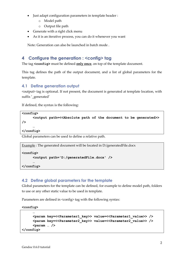- Just adapt configuration parameters in template header :
	- o Model path
	- o Output file path
- Generate with a right click menu
- As it is an iterative process, you can do it whenever you want

Note: Generation can also be launched in batch mode .

## <span id="page-4-0"></span>**4 Configure the generation : <config> tag**

The tag **<config>** must be defined **only once**, on top of the template document.

This tag defines the path of the output document, and a list of global parameters for the template.

#### <span id="page-4-1"></span>**4.1 Define generation output**

<output> tag is optional. If not present, the document is generated at template location, with suffix **'**\_generated**'**

If defined, the syntax is the following:

```
<config>
     <output path=<<Absolute path of the document to be generated>> 
/>
     …
</config>
```
Global parameters can be used to define a relative path.

Example : The generated document will be located in D:/generatedFile.docx

```
<config>
     <output path='D:/generatedFile.docx' />
     …
```
**</config>**

#### <span id="page-4-2"></span>**4.2 Define global parameters for the template**

Global parameters for the template can be defined, for example to define model path, folders to use or any other static value to be used in template.

Parameters are defined in <config> tag with the following syntax:

**<config>**

```
…
     <param key=<<Parameter1_key>> value=<<Parameter1_value>> />
     <param key=<<Parameter2_key>> value=<<Parameter2_value>> />
     <param … />
</config>
```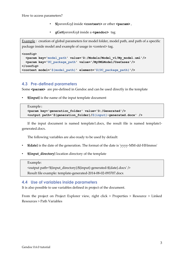- **\${***paramKey***}** inside **<context>** or other **<param>** ,
- **gGet(***paramKey***)** inside a **<gendoc>** tag

Example : creation of global parameters for model folder, model path, and path of a specific package inside model and example of usage in <context> tag.

```
<config>
   <param key='model_path' value='D:/Models/Model_v1/My_model.uml'/>
   <param key='UC_package_path' value='/MyUMLModel/UseCases'/>
</config>
<context model='${model_path}' element='${UC_package_path}'/>
```
#### <span id="page-5-0"></span>**4.3 Pre-defined parameters**

Some <param> are pre-defined in Gendoc and can be used directly in the template

• **\${input}** is the name of the input template document

```
Example: 
<param key='generation_folder' value='D:/Generated'/>
<output path='${generation_folder}/${input}-generated.docx' />
```
If the input document is named template1.docx, the result file is named template1 generated.docx.

The following variables are also ready to be used by default:

- **\${date}** is the date of the generation. The format of the date is 'yyyy-MM-dd-HHmmss'
- **\${input\_directory}** location directory of the template

Example:

<output path='\${input\_directory}/\${input}-generated-\${date}.docx' /> Result file example: template-generated-2014-08-02-093707.docx

#### <span id="page-5-1"></span>**4.4 Use of variables inside parameters**

It is also possible to use variables defined in project of the document.

From the project on Project Explorer view, right click > Properties > Resource > Linked Resources > Path Variables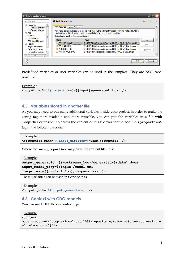

Predefined variables or user variables can be used in the template. They are NOT casesensitive.

```
Example :
<output path='${project_loc}/${input}-generated.docx' />
```
#### <span id="page-6-0"></span>**4.5 Variables stored in another file**

As you may need to put many additional variables inside your project, in order to make the config tag more readable and more reusable, you can put the variables in a file with .properties extension. To access the content of this file you should add the **<properties>** tag in the following manner:

```
Example :
```

```
<properties path='${input_directory}/vars.properties' />
```
Where the **vars.properties** may have the content like this:

Example :

```
output_generation=${workspace_loc}/generated-${date}.docx
input_model_prop=${input}/model.uml
image_test=${project_loc}/company_logo.jpg
```
These variables can be used in Gendoc tags :

```
 Example :
<output path='${output_generation}' />
```
#### <span id="page-6-1"></span>**4.6 Context with CDO models**

You can use CDO URIs in context tags

```
 Example :
<context 
model='cdo.net4j.tcp://localhost:2036/repository/resource?transactional=tru
e' element='{0}'/>
```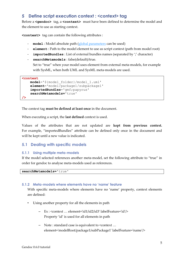# <span id="page-7-0"></span>**5 Define script execution context : <context> tag**

Before a **<gendoc>** tag, a **<context>** must have been defined to determine the model and the element to use as starting context.

**<context>** tag can contain the following attributes :

- **model** : Model absolute path [\(global parameters](#page-4-2) can be used)
- **element** : Path to the model element to use as script context (path from model root)
- **importedBundles** : List of external bundles names (separated by ';' character)
- **searchMetamodels** : false(default)/true.

Set to "true" when your model uses element from external meta-models, for example with SysML, when both UML and SysML meta-models are used.

```
<context 
    model='${model_folder}/model_1.uml'
    element='model/package1/subpackage1' 
    importedBundles='gmf;papyrus'
    searchMetamodels='true'
/>
```
The context tag **must be defined at least once** in the document.

When executing a script, the **last defined** context is used.

Values of the attributes that are not updated are **kept from previous context.** For example, "importedBundles" attribute can be defined only once in the document and will be kept until a new value is indicated.

#### <span id="page-7-1"></span>**5.1 Dealing with specific models**

#### <span id="page-7-2"></span>**5.1.1 Using multiple meta-models**

If the model selected references another meta-model, set the following attribute to "true" in order for gendoc to analyse meta-models used as references.

**searchMetamodels='**true**'**

#### <span id="page-7-3"></span>**5.1.2 Meta-models where elements have no 'name' feature**

With specific meta-models where elements have no 'name' property, context elements are defined:

- Using another property for all the elements in path
	- Ex : <context … element='id1/id2/id3' labelFeature='id'/> Property 'id' is used for all elements in path
	- Note : standard case is equivalent to <context … element='modelRoot/package1/subPackage1' labelFeature='name'/>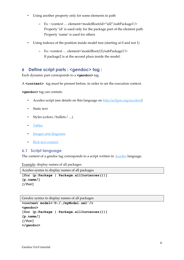- Using another property only for some elements in path
	- Ex : <context … element='modelRoot/id="id2"/subPackage1'/> Property 'id' is used only for the package part of the element path Property 'name' is used for others
- Using indexes of the position inside model tree (starting at 0 and not 1)
	- Ex: <context … element='modelRoot/{1}/subPackage1'/> If package2 is at the second place inside the model.

# <span id="page-8-0"></span>**6 Define script parts : <gendoc> tag :**

Each dynamic part corresponds to a **<gendoc>** tag.

A **<context>** tag must be present before, in order to set the execution context.

**<gendoc>** tag can contain:

- Acceleo script (see details on this language on [http://eclipse.org/acceleo/\)](http://eclipse.org/acceleo/)
- Static text
- Styles (colors / bullets / ...)
- [Tables](#page-13-1)
- [Images and diagrams](#page-8-1)
- [Rich text content](#page-16-0)

#### <span id="page-8-1"></span>**6.1 Script language**

The content of a gendoc tag corresponds to a script written in **Acceleo** language.

Example: display names of all packages

```
Acceleo syntax to display names of all packages
[for (p:Package | Package.allInstances())]
[p.name/]
[/for]
```
Gendoc syntax to display names of all packages

```
<context model='D:/…/myModel.uml'/>
<gendoc>
[for (p:Package | Package.allInstances())]
[p.name/]
[/for]
</gendoc>
```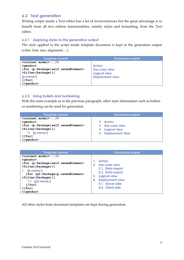## <span id="page-9-0"></span>**6.2 Text generation**

Writing scripts inside a Text editor has a lot of inconveniences but the great advantage is to benefit from all text edition functionalities, mainly styles and formatting, from the Text editor.

#### <span id="page-9-1"></span>**6.2.1 Applying styles to the generation output**

The style applied to the script inside template document is kept in the generation output (color, font, size, alignment,…).

| <b>Template content</b>                                                                   | <b>Generation output</b> |
|-------------------------------------------------------------------------------------------|--------------------------|
| $\Diamond$ < $\Diamond$ $\Diamond$ $\Diamond$ $\Diamond$ $\Diamond$ $\Diamond$ $\Diamond$ |                          |
| $\leq$ dendoc $>$                                                                         | <b>Actors</b>            |
| [for (p:Package self.ownedElement-                                                        | Use case view            |
| >filter(Package))]                                                                        | <b>Logical view</b>      |
| [p.name]                                                                                  | <b>Deployment view</b>   |
| [/for]                                                                                    |                          |
| $\langle$ /gendoc $\rangle$                                                               |                          |

#### <span id="page-9-2"></span>**6.2.2 Using bullets and numbering**

With the same example as in the previous paragraph, other style information such as bullets or numbering can be used for generation.

| <b>Template content</b>                                                                   | <b>Generation output</b> |
|-------------------------------------------------------------------------------------------|--------------------------|
| $\Diamond$ < $\Diamond$ $\Diamond$ $\Diamond$ $\Diamond$ $\Diamond$ $\Diamond$ $\Diamond$ |                          |
| $qendo$                                                                                   | $\div$ Actors            |
| [for (p:Package self.ownedElement-                                                        | Use case view<br>÷.      |
| >filter(Package))]                                                                        | <b>Logical view</b><br>❖ |
| $\div$ [p.name/]                                                                          | ❖ Deployment view        |
| [/for]                                                                                    |                          |
|                                                                                           |                          |

| <b>Template content</b>              | <b>Generation output</b> |
|--------------------------------------|--------------------------|
| $\text{Context model} = \frac{1}{2}$ | <b>Actors</b>            |
| $qendo$                              | Use case view            |
| [for (p:Package self.ownedElement-   | $2_{-}$                  |
| >filter(Package))]                   | 2.1. Data import         |
| 1. $[p.name/$                        | 2.2. Data export         |
| [for (p2:Package p.ownedElement-     | <b>Logical view</b>      |
| >filter(Package))]                   | 3.                       |
| 1.1. $[p2.name/]$                    | <b>Deployment view</b>   |
| [/for]                               | 4.                       |
| 1/for1                               | 4.1. Server side         |
|                                      | 4.2. Client side         |

All other styles from document templates are kept during generation.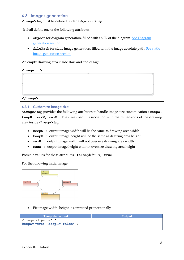#### <span id="page-10-0"></span>**6.3 Images generation**

**<image>** tag must be defined under a **<gendoc>** tag.

It shall define one of the following attributes:

- **•** object for diagram generation, filled with an ID of the diagram. See Diagram [generation section.](#page-12-0)
- **filePath** for static image generation, filled with the image absolute path. See static [image generation section.](#page-13-0)

An empty drawing area inside start and end of tag:

| $\langle \text{image} \dots \rangle$ | 8888        |  |
|--------------------------------------|-------------|--|
|                                      |             |  |
|                                      | <b>SOUL</b> |  |

#### <span id="page-10-1"></span>**6.3.1 Customize image size**

**<image>** tag provides the following attributes to handle image size customization : **keepW, keepH, maxW, maxH.** They are used in association with the dimensions of the drawing area inside <**image>** tag:

- **keepW** : output image width will be the same as drawing area width
- **keepH :** output image height will be the same as drawing area height
- **• maxW :** output image width will not oversize drawing area width
- **maxH :** output image height will not oversize drawing area height

Possible values for these attributes: **false**(default)**, true.**

For the following initial image:



Fix image width, height is computed proportionally

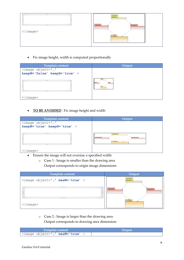

Fix image height, width is computed proportionally

| <b>Template content</b>                                | Output |
|--------------------------------------------------------|--------|
| <image <br="" object=""/> keepW='false' keepH='true' > |        |
| 22.32.3<br>9999.                                       |        |
| image>                                                 |        |

**TO BE AVOIDED** : Fix image height and width



</image>

- Ensure the image will not oversize a specified width
	- o Case 1 : Image is smaller than the drawing area Output corresponds to origin image dimensions

| <b>Template content</b>        | Output                      |
|--------------------------------|-----------------------------|
| <image maxw="true" object=""/> | «allocated»<br>Allocations  |
| 3333<br>$50 - 10$<br>$-20.50$  | LogicalView<br>PhysicalView |
| - 5<br>ت 15<br>to to to to     | $\Box$ Context              |
| $\langle$ image>               |                             |

o Case 2 : Image is larger than the drawing area

Output corresponds to drawing area dimension:

| Template content                                      | Output |
|-------------------------------------------------------|--------|
| I <image <="" maxw="true" object="" td=""/> <td></td> |        |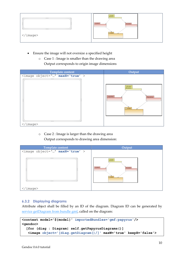

- Ensure the image will not oversize a specified height
	- o Case 1 : Image is smaller than the drawing area Output corresponds to origin image dimensions

| Template content               | Output         |
|--------------------------------|----------------|
| <image maxh="true" object=""/> | «allocated»    |
| 3333                           | Allocations    |
| $\overline{a}$                 | LogicalView    |
| 9999                           | PhysicalView   |
| $\langle$ /image>              | $\Box$ Context |

o Case 2 : Image is larger than the drawing area Output corresponds to drawing area dimension:

|                                | <b>Template content</b> | Output                                                               |
|--------------------------------|-------------------------|----------------------------------------------------------------------|
| <image maxh="true" object=""/> |                         |                                                                      |
| 3333<br>$6 - 67$<br>9999       |                         | «allocated»<br>Allocations<br>LogicalView<br>PhysicalView<br>Context |
| 'image>                        |                         |                                                                      |

#### <span id="page-12-0"></span>**6.3.2 Displaying diagrams**

Attribute object shall be filled by an ID of the diagram. Diagram ID can be generated by [service getDiagram from bundle gmf,](#page-23-0) called on the diagram:

```
<context model='${model}' importedBundles='gmf;papyrus'/>
<gendoc>
   [for (diag : Diagram| self.getPapyrusDiagrams()]
    <image object='[diag.getDiagram()/]' maxW='true' keepH='false'>
```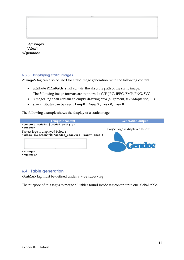|                            | 3333<br><b>SOVA</b> |  |
|----------------------------|---------------------|--|
| <br>[/for]<br><sub> </sub> |                     |  |

#### <span id="page-13-0"></span>**6.3.3 Displaying static images**

**<image>** tag can also be used for static image generation, with the following content:

- attribute **filePath** shall contain the absolute path of the static image. The following image formats are supported : GIF, JPG, JPEG, BMP, PNG, SVG
- $\langle$  image> tag shall contain an empty drawing area (alignment, text adaptation, ...)
- size attributes can be used : **keepW, keepH, maxW, maxH**

The following example shows the display of a static image:

| <b>Template content</b>                                                                                                                                                                                             | <b>Generation output</b>                                 |
|---------------------------------------------------------------------------------------------------------------------------------------------------------------------------------------------------------------------|----------------------------------------------------------|
| <context model="\${model path}"></context><br><gendoc><br/>Project logo is displayed below :<br/><image filepath="D:/gendoc logo.jpg" maxw="true"/><br/><math>\langle</math>imaqe<math>\rangle</math><br/></gendoc> | Project logo is displayed below:<br><i><b>Gendoe</b></i> |

#### <span id="page-13-1"></span>**6.4 Table generation**

**<table>** tag must be defined under a **<gendoc>** tag

The purpose of this tag is to merge all tables found inside tag content into one global table.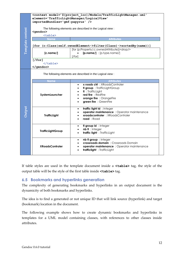|                  | <context <br="" model="\${project loc}/Models/TrafficLightManager.uml">element='TrafficLightManager/LogicalView'</context> |                                                                  |  |
|------------------|----------------------------------------------------------------------------------------------------------------------------|------------------------------------------------------------------|--|
| Template content | importedBundles='gmf;papyrus' /><br>The following elements are described in the Logical view :<br><gendoc></gendoc>        |                                                                  |  |
|                  | <table></table>                                                                                                            |                                                                  |  |
|                  | <b>Name</b>                                                                                                                | <b>Attributes</b>                                                |  |
|                  |                                                                                                                            | [for (c:Class self.ownedElement->filter(Class)->sortedBy(name))] |  |
|                  |                                                                                                                            | [for (p:Property   c.ownedAttribute)] <drop></drop>              |  |
|                  | [c.name/]                                                                                                                  | $[p.name/]$ : [p.type.name/]                                     |  |
|                  |                                                                                                                            | [/for]                                                           |  |
|                  | [/for]<br>                                                                                                                 |                                                                  |  |

  ||  |  |  |
|  | The following elements are described in the Logical view : | | |
|  | **Name** | **Attributes** |
|  |  | x roads ctrl : XRoadsControler $\bullet$ |
|  |  | **fl group** : TrafficLightGroup $\bullet$ |
|  | SystemLauncher | **fl** : TrafficLight $\bullet$ red fire: RedFire $\bullet$ |
|  |  | orange fire : OrangeFire $\bullet$ |
|  |  | green fire : GreenFire |
|  |  | traffic light id: Integer $\bullet$ |
| Output |  | operator maintenance : Operator maintenance $\bullet$ |
|  | **TrafficLight** | xroadscontroler: XRoadsControler $\bullet$ |
|  |  | road: Road |
|  |  | **fl group id** : Integer $\bullet$ |
|  | **TrafficLightGroup** | nb il : Integer |
|  |  | traffic light : TrafficLight $\bullet$ |
|  |  | nb il group : Integer $\bullet$ |
|  |  | crossroads domain: Crossroads Domain |
|  | **XRoadsControler** | operator maintenance : Operator maintenance |
|  |  | trafficlight: TrafficLight |
|  |  | If table styles are used in the template document inside a  $\lt$ table> tag, the style of theoutput table will be the style of the first table inside |
| 6.5 | **Bookmarks and hyperlinks generation** |  |
|  |  |  |
|  |  | The complexity of generating bookmarks and hyperlinks in an output document is the |
|  | dynamicity of both bookmarks and hyperlinks. |  |
|  | (bookmark) location in the document. | The idea is to find a generated or not unique ID that will link source (hyperlink) and target |
|  |  |  |
| attributes. |  | The following example shows how to create dynamic bookmarks and hyperlinks intemplates for a UML model containing classes, with references to other classes inside |
|  |  |  |
|  |  |  |
|  |  |  |
|  |  | 12 |
|  | Gendoc 0.6.0 tutorial |  |
#### <span id="page-14-0"></span>**6.5 Bookmarks and hyperlinks generation**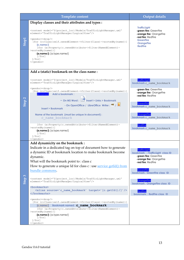| Template content  |                                                                                                                                                                                                                                                                                                                                                                                                                             | <b>Output details</b>                                                                                                                                                            |
|-------------------|-----------------------------------------------------------------------------------------------------------------------------------------------------------------------------------------------------------------------------------------------------------------------------------------------------------------------------------------------------------------------------------------------------------------------------|----------------------------------------------------------------------------------------------------------------------------------------------------------------------------------|
|                   | Display classes and their attributes and types :                                                                                                                                                                                                                                                                                                                                                                            |                                                                                                                                                                                  |
| <b>Step1</b>      | <context <br="" model="\${project loc}/Models/TrafficLightManager.uml">element='TrafficLightManager/LogicalView'/&gt;<br/><qendoc><drop></drop><br/>[for (c:Class self.ownedElement-&gt;filter(Class)-&gt;sortedBy(name))]<br/>[c.name/]<br/>[for (a:Property c.ownedAttribute-&gt;filter(NamedElement)-<br/>&gt;sortedBy(name))]<br/><math>-[a.name/]: [a.type.name/]</math><br/>[/for]<br/>[/for]<br/></qendoc></context> | <b>TrafficLight</b><br>-green fire: GreenFire<br>-orange fire: OrangeFire<br>-red fire: RedFire<br><b>GreenFire</b><br><b>OrangeFire</b><br><b>RedFire</b>                       |
|                   | Add a (static) bookmark on the class name:                                                                                                                                                                                                                                                                                                                                                                                  |                                                                                                                                                                                  |
|                   | <context <br="" model="\${project loc}/Models/TrafficLightManager.uml">element='TrafficLightManager/LogicalView'/&gt;<br/><qendoc><drop></drop><br/>[for (c:Class self.ownedElement-&gt;filter(Class)-&gt;sortedBy(name))]</qendoc></context>                                                                                                                                                                               | <b>TrafficLight</b><br>bookmark c name bookmark<br>-green fire: GreenFire                                                                                                        |
|                   | Add a bookmark:<br>[c.name/1]                                                                                                                                                                                                                                                                                                                                                                                               | -orange fire: OrangeFire<br>-red fire: RedFire                                                                                                                                   |
| Step <sub>2</sub> | - On MS Word : EXP Insert > Links > Bookmark<br>- On OpenOffice / LibreOffice Writer: $\mathbf{M}$ / $\mathbf{N}$<br><b>Insert &gt; Bookmark</b>                                                                                                                                                                                                                                                                            | <b>GreenFire</b><br>bookmark c name bookmark                                                                                                                                     |
|                   | Name of the bookmark (must be unique in document) :<br>c name bookmark                                                                                                                                                                                                                                                                                                                                                      | <b>OrangeFire</b><br>bookmark c name bookmark                                                                                                                                    |
|                   | [for (a:Property c.ownedAttribute->filter(NamedElement)-<br>>sortedBy(name))]<br>$-[a.name/]:$ [a.type.name/]<br>[/for]<br>[/for]<br>                                                                                                                                                                                                                                                                                       | <b>RedFire</b><br>bookmark c name bookmark                                                                                                                                       |
|                   | Add dynamicity on the bookmark :                                                                                                                                                                                                                                                                                                                                                                                            |                                                                                                                                                                                  |
|                   | Indicate in a dedicated tag on top of document how to generate<br>a dynamic ID at bookmark location to make bookmark become<br>dynamic.<br>What will the bookmark point to: class c<br>How to generate a unique Id for class c : use service getId() from<br>bundle commons.                                                                                                                                                | TrafficLight<br>bookmark : TrafficLight class ID<br>-green fire: GreenFire<br>-orange fire: OrangeFire<br>-red fire: RedFire<br><b>GreenFire</b><br>bookmark: GreenFire class ID |
| $\omega$<br>Step  | <context <br="" model="\${project loc}/Models/TrafficLightManager.uml">element='TrafficLightManager/LogicalView'/&gt;</context>                                                                                                                                                                                                                                                                                             | <b>OrangeFire</b><br>bookmark: OrangeFire class ID                                                                                                                               |
|                   | <bookmarks><br/><alias source="c name bookmark" target="[c.getId()/]"></alias><br/></bookmarks>                                                                                                                                                                                                                                                                                                                             | <b>RedFire</b><br>bookmark: RedFire class ID                                                                                                                                     |
|                   | <gendoc><drop></drop><br/>[for (c:Class self.ownedElement-&gt;filter(Class)-&gt;sortedBy(name))]<br/>[c.name/] Bookmark named: c name bookmark<br/>[for (a:Property c.ownedAttribute-&gt;filter(NamedElement)-<br/>&gt;sortedBy(name))]<br/><math>-[a.name/]:</math> [a.type.name/]</gendoc>                                                                                                                                |                                                                                                                                                                                  |
|                   | [/for]<br>[/for]<br>                                                                                                                                                                                                                                                                                                                                                                                                        |                                                                                                                                                                                  |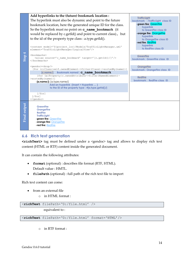

## <span id="page-16-3"></span><span id="page-16-2"></span><span id="page-16-1"></span><span id="page-16-0"></span>**6.6 Rich text generation**

**<richText>** tag must be defined under a <gendoc> tag and allows to display rich text content (HTML or RTF) content inside the generated document.

It can contain the following attributes:

- **format** (optional) : describes file format (RTF, HTML). Default value : HMTL.
- **filePath** (optional) : full path of the rich text file to import

Rich text content can come:

- from an external file
	- o in HTML format :

```
<richText filePath='D:/file.html' />
```
equivalent to :

<**richText** filePath='D:/file.html' format='HTML'/>

o in RTF format :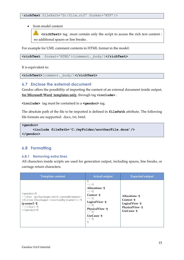from model content

 $\mathbf{u}$ **<richText>** tag must contain only the script to access the rich text content : no additional spaces or line breaks .

For example for UML comment contents in HTML format in the model:

**<richText** format='HTML'>[comment.\_body/]**</richText>**

It is equivalent to:

**<richText>**[comment.\_body/]**</richText>**

#### <span id="page-17-0"></span>**6.7 Enclose the external document**

Gendoc offers the possibility of importing the content of an external document inside output, **for Microsoft Word templates only**, through tag **<include>.**

**<include>** tag must be contained in a **<gendoc>** tag.

The absolute path of the file to be imported is defined in **filePath** attribute. The following file formats are supported: docx, txt, html.

**<gendoc>** 

**<include filePath='C:/myFolder/anotherFile.docx'/>**

**</gendoc>**

#### <span id="page-17-1"></span>**6.8 Formatting**

#### <span id="page-17-2"></span>**6.8.1 Removing extra lines**

All characters inside scripts are used for generation output, including spaces, line breaks, or carriage return characters.

| Template content                                                                                                                                                                                                     | <b>Actual output</b>                                                                                                                                                                                                     | <b>Expected output</b>                                                                                       |
|----------------------------------------------------------------------------------------------------------------------------------------------------------------------------------------------------------------------|--------------------------------------------------------------------------------------------------------------------------------------------------------------------------------------------------------------------------|--------------------------------------------------------------------------------------------------------------|
| $\leq q$ endoc $\geq$<br>$\cdot$ [for (p:Package self.ownedElement-<br>$\rightarrow$ filter (Package) ->sortedBy (name) ) ] $\cdot$ 1<br>$[p.name / ] \cdot$<br>$\cdots$ [/for] $\cdot$ 1<br>$\langle$ /qendoc> $\P$ | I<br>$\cdots$ $\P$<br>Allocations $\cdot$ ¶<br>$\cdots$ q<br>Context $\cdot$ T<br>$\cdots$ q<br>LogicalView $\cdot$ $\mathbb{I}$<br>$\cdots$ q<br>PhysicalView · 1<br>$\cdots$ q<br>$Use Cases \cdot$<br>$\cdots$ q<br>I | Allocations $\cdot$ ¶<br>Context $\cdot$ T<br>LogicalView $\cdot$ ¶<br>PhysicalView · 1<br>$Use Cases \cdot$ |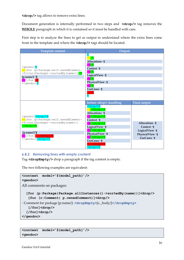**<drop/>** tag allows to remove extra lines.

Document generation is internally performed in two steps and **<drop/>** tag removes the **WHOLE** paragraph in which it is contained so it must be handled with care.

First step is to analyze the lines to get as output to understand where the extra lines come from in the template and where the **<drop/>** tags should be located.

| Template content                                                                                                                                                                                                                                                                    | Output                                                                                                                                                                                                                                                                                                                                                                                                                                                            |                                                                                                                                     |
|-------------------------------------------------------------------------------------------------------------------------------------------------------------------------------------------------------------------------------------------------------------------------------------|-------------------------------------------------------------------------------------------------------------------------------------------------------------------------------------------------------------------------------------------------------------------------------------------------------------------------------------------------------------------------------------------------------------------------------------------------------------------|-------------------------------------------------------------------------------------------------------------------------------------|
| <gendoc>¶<br/> [for (p:Package self.ownedElement-<br/>&gt;filter(Package)-&gt;sortedBy(name))]<sup>.</sup>I<br/><math>[p.name / ] \cdot</math><br/><math>\cdot \cdot</math>[/for]<math>\cdot \mathbb{I}</math><br/></gendoc> ¶                                                      | $\cdot \cdot \cdot$ q<br>Allocations $\cdot$ ¶<br>$\cdot \cdot$ q<br>$Context \cdot$ ¶<br>$\cdot \cdot$ T<br>LogicalView · 1<br>$\cdot \cdot \cdot$ q<br>PhysicalView · 1<br>$Use Cases \cdot$<br>$\cdots$ q                                                                                                                                                                                                                                                      |                                                                                                                                     |
| <gendoc><drop></drop>1<br/> [for (p:Package self.ownedElement-<br/>&gt;filter(Package)-&gt;sortedBy(name))]<br/><math>\cdot</math> <drop></drop>1<br/>[p.name/]<math>\mathbb{I}</math><br/><math>\cdot</math> [/for] <math>\cdot</math> <drop></drop><br/></gendoc> <drop></drop> 1 | before <drop></drop> handling<br>$\langle \text{drop}/\overline{\text{M}}\rangle$<br>$\cdot \cdot \cdot$ < drop $\sqrt{2}$<br>Allocations $\cdot$ 1<br>$\cdot \cdot \cdot \cdot \cdot \cdot \cdot$<br>Context $\cdot$ $\mathbb{I}$<br><mark>∙∙</mark> ≺drop/>¶<br>LogicalView · 1<br>$\cdot \cdot$ <drop></drop><br>PhysicalView · 1<br>$\cdot \cdot \cdot \cdot \cdot \cdot \cdot \cdot$<br>UseCases $\cdot$ $\mathbb I$<br>··· <drop></drop><br><drop></drop> 1 | <b>Final output</b><br>Allocations $\cdot$ $\P$<br>Context $\cdot$ ¶<br>LogicalView · 1<br>PhysicalView · 1<br>$Use Cases \cdot \P$ |

#### <span id="page-18-0"></span>**6.8.2 Removing lines with empty content**

Tag <dropEmpty/> drop a paragraph if the tag content is empty.

The two following examples are equivalent:

```
<context model='${model_path}'/>
<gendoc>
All comments on packages: 
   [for (p:Package|Package.allInstances()->sortedBy(name))]<drop/>
    [for (c:Comment| p.ownedComment)]<drop/>
- Comment for package [p.name/]: <dropEmpty>[c._body/]</dropEmpty>
    [/for]<drop/>
   [/for]<drop/>
</gendoc>
```

```
<context model='${model_path}'/>
<gendoc>
```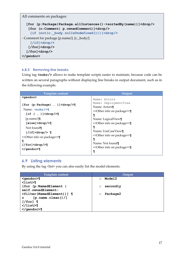All comments on packages:

```
 [for (p:Package|Package.allInstances()->sortedBy(name))]<drop/>
    [for (c:Comment| p.ownedComment)]<drop/>
     [if (not(c._body.oclIsUndefined()))]<drop/>
- Comment for package [p.name/]: [c._body/]
     [/if]<drop/>
    [/for]<drop/>
   [/for]<drop/>
</gendoc>
```
#### <span id="page-19-0"></span>**6.8.3 Removing line breaks**

Using tag <nobr/>obr/> allows to make template scripts easier to maintain, because code can be written on several paragraphs without displaying line breaks in output document, such as in the following example.

| <b>Template content</b>                                                                                                                                                                                                                                                                                     | Output                                                                                                                                                                                                                                                                                                                                                           |
|-------------------------------------------------------------------------------------------------------------------------------------------------------------------------------------------------------------------------------------------------------------------------------------------------------------|------------------------------------------------------------------------------------------------------------------------------------------------------------------------------------------------------------------------------------------------------------------------------------------------------------------------------------------------------------------|
| $qendo$<br>[for (p:Package  )] <drop></drop><br>Name: $\langle \text{nobr}/\rangle$<br>[if (  )] < drop/<br>$[p.name/]\P$<br>$[else]drop/^{\sim}$<br>Not found¶<br>$\lceil$ /if] <drop></drop> $\lceil$<br>< <other info="" on="" package="">&gt;<br/>¶<br/><math>[}/for]4</math><br/>K/gendoc&gt;¶</other> | Name: Actors<br>Name: DeploymentView<br>Name: Actors¶<br>< <other info="" on="" package="">&gt;<br/>¶<br/>Name: LogicalView¶<br/>&lt;<other info="" on="" package="">&gt;<br/>¶<br/>Name: UseCaseView¶<br/>&lt;<other info="" on="" package="">&gt;<br/>¶<br/>Name: Not found<br/>&lt;<other info="" on="" package="">&gt;<br/>T</other></other></other></other> |

### <span id="page-19-1"></span>**6.9 Listing elements**

By using the tag <list> you can also easily list the model elements.

| <b>Template content</b>                               | Output              |
|-------------------------------------------------------|---------------------|
| <gendoc>1</gendoc>                                    | Model2<br>$\circ$   |
| $\langle$ list $\rangle$                              |                     |
| [for (p:NamedElement                                  | secondly<br>$\circ$ |
| self.ownedElement-                                    |                     |
| $\triangleright$ filter (NamedElement))] $\mathbb{I}$ | Package2<br>$\circ$ |
| $[p.name$ . clean () $/$ ]<br>$\circ$                 |                     |
| $[ /$ for] $\mathbb{I}$                               |                     |
| $\langle$ /list>¶                                     |                     |
| $\langle$ /gendoc>                                    |                     |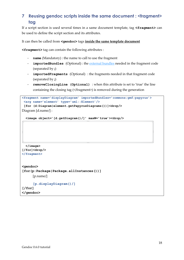# <span id="page-20-0"></span>**7 Reusing gendoc scripts inside the same document : <fragment> tag**

If a script section is used several times in a same document template, tag **<fragment>** can be used to define the script section and its attributes.

#### It can then be called from **<gendoc>** tags **inside the same template document**

**<fragment>** tag can contain the following attributes :

- **name** (Mandatory) : the name to call to use the fragment
- **importedBundles** (Optional) : the [external bundles](#page-21-0) needed in the fragment code (separated by **;**)
- **importedFragments** (Optional) : the fragments needed in that fragment code (separated by **;**)
- **removeClosingLine (Optional)** : when this attribute is set to 'true' the line containing the closing tag (</fragment>) is removed during the generation

```
<fragment name='displayDiagram' importedBundles='commons;gmf;papyrus'>
 <arg name='element' type='uml::Element'/>
 [for (d:Diagram|element.getPapyrusDiagrams())]<drop/>
Diagram [d.name/] : 
   <image object='[d.getDiagram()/]' maxW='true'><drop/>
   </image>
[/for]<drop/>
</fragment>
<gendoc>
[for(p:Package|Package.allInstances())]
      [p.name/]
      [p.displayDiagram()/]
[/for] 
</gendoc>
```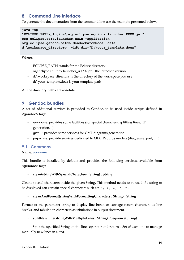# <span id="page-21-0"></span>**8 Command Line Interface**

To generate the documentation from the command line use the example presented below.

```
java -cp 
"ECLIPSE_PATH\plugins\org.eclipse.equinox.launcher_XXXX.jar" 
org.eclipse.core.launcher.Main -application 
org.eclipse.gendoc.batch.GendocBatchMode -data 
d:\workspace_directory -idt dir="D:\your_template.docx"
```
Where:

- ECLIPSE\_PATH stands for the Eclipse directory
- org.eclipse.equinox.launcher\_XXXX.jar the launcher version
- d:\workspace\_directory is the directory of the workspace you use
- d:\your\_template.docx is your template path

All the directory paths are absolute.

# <span id="page-21-1"></span>**9 Gendoc bundles**

<span id="page-21-3"></span>A set of additional services is provided to Gendoc, to be used inside scripts defined in **<gendoc>** tags:

- **commons**: provides some facilities (for special characters, splitting lines, ID generation…)
- **gmf :** provides some services for GMF diagrams generation
- **papyrus**: provide services dedicated to MDT Papyrus models (diagram export, … )

#### <span id="page-21-2"></span>**9.1 Commons**

#### Name: **commons**

This bundle is installed by default and provides the following services, available from **<gendoc>** tags:

#### • **clean(stringWithSpecialCharacters : String) : String**

Cleans special characters inside the given String. This method needs to be used if a string to be displayed can contain special characters such as:  $\langle , \rangle$ ,  $\&$ ,  $\langle , \rangle$ ,  $\langle$ 

#### • **cleanAndFormat(stringWithFormattingCharacters : String) : String**

Format of the parameter string to display line break or carriage return characters as line breaks, and tabulation characters as tabulations in output document.

#### • **splitNewLine(stringWithMultipleLines : String) : Sequence(String)**

Split the specified String on the line separator and return a Set of each line to manage manually new lines in a text.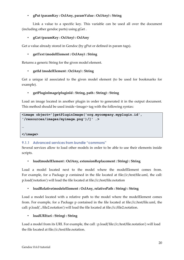#### • **gPut (paramKey : OclAny, paramValue : OclAny) : String**

Link a value to a specific key. This variable can be used all over the document (including other gendoc parts) using gGet .

#### • **gGet (paramKey : OclAny) : OclAny**

Get a value already stored in Gendoc (by gPut or defined in param tags).

#### • **getText (modelElement : OclAny) : String**

Returns a generic String for the given model element.

#### • **getId (modelElement : OclAny) : String**

Get a unique id associated to the given model element (to be used for bookmarks for example).

#### • **getPluginImage(pluginId : String, path : String) : String**

Load an image located in another plugin in order to generated it in the output document. This method should be used inside <image> tag with the following syntax:

```
<image object='[getPluginImage('org.mycompany.myplugin.id',
'/resources/images/myimage.png')/]' …>
```
**…**

**</image>**

#### <span id="page-22-0"></span>**9.1.1 Advanced services from bundle "commons"**

Several services allow to load other models in order to be able to use their elements inside scripts.

#### • **load(modelElement : OclAny, extensionReplacement : String) : String**

Load a model located next to the model where the modelElement comes from. For example, for a Package p contained in the file located at file://c:/test/file.uml, the call: p.load('notation') will load the file located at file://c:/test/file.notation

#### • **loadRelative(modeleElement : OclAny, relativePath : String) : String**

Load a model located with a relative path to the model where the modelElement comes from. For example, for a Package p contained in the file located at file://c:/test/file.uml, the call: p.load('../file2.notation') will load the file located at file://c:/file2.notation.

#### • **loadURI(uri : String) : String**

Load a model from its URI. For example, the call : p.load('file://c:/test/file.notation') will load the file located at file://c:/test/file.notation.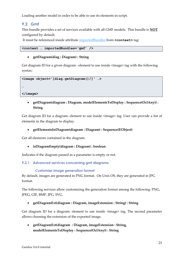Loading another model in order to be able to use its elements in script.

## <span id="page-23-0"></span>**9.2 Gmf**

This bundle provides a set of services available with all GMF models. This bundle is **NOT** configured by default.

It must be referenced inside attribute [importedBundles](#page-6-0) from **<context>** tag:

```
<context … importedBundles='gmf' />
```
#### **getDiagram(diag : Diagram) : String**

Get diagram ID for a given diagram : element to use inside <image> tag with the following syntax:

```
<image object='[diag.getDiagram()/]' …>
```
**</image>**

**…**

 **getDiagram(diagram : Diagram, modelElementsToDisplay : Sequence(OclAny)) : String**

Get diagram ID for a diagram: element to use inside  $\langle$ image> tag. User can provide a list of elements in the diagram to display.

#### **getElementsInDiagram(diagram : Diagram) : Sequence(EObject)**

Get all elements contained in the diagram.

**isDiagramEmpty(diagram : Diagram) : boolean**

Indicates if the diagram passed as a parameter is empty or not.

<span id="page-23-1"></span>**9.2.1 Advanced services concerning gmf diagrams**

#### *Customize image generation format*

By default, images are generated in PNG format. On Unix OS, they are generated in JPG format.

The following services allow customizing the generation format among the following: PNG, JPEG, GIF, BMP, JPG, SVG.

**getDiagramExt(diagram : Diagram, imageExtension : String) : String**

Get diagram ID for a diagram: element to use inside  $\langle$ image> tag. The second parameter allows choosing the extension of the exported image.

 **getDiagramExt(diagram : Diagram, imageExtension : String, modelElementsToDisplay : Sequence(OclAny)) : String**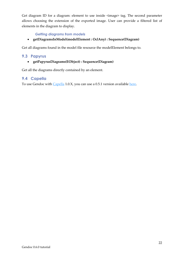Get diagram ID for a diagram: element to use inside <image> tag. The second parameter allows choosing the extension of the exported image. User can provide a filtered list of elements in the diagram to display.

#### *Getting diagrams from models*

**getDiagramsInModel(modelElement : OclAny) : Sequence(Diagram)**

Get all diagrams found in the model file resource the modelElement belongs to.

#### <span id="page-24-0"></span>**9.3 Papyrus**

**getPapyrusDiagrams(EObject) : Sequence(Diagram)**

Get all the diagrams directly contained by an element.

#### <span id="page-24-1"></span>**9.4 Capella**

To use Gendoc with [Capella](https://www.polarsys.org/capella/) 1.0.X, you can use a 0.5.1 version available [here.](https://hudson.eclipse.org/gendoc/job/Gendoc-0.5-juno-maintenance/)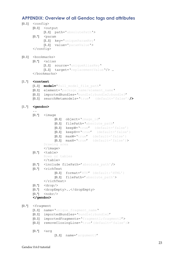# <span id="page-25-0"></span>**APPENDIX: Overview of all Gendoc tags and attributes**

|       | $[0.1]$ <config></config>                                     | $[0.1]$ < output                                                                    |
|-------|---------------------------------------------------------------|-------------------------------------------------------------------------------------|
|       |                                                               | [1.1] path='absolutePath'><br>$[0.^*]$ $\leq$ param<br>[1.1] key='uniqueParamKey'   |
|       |                                                               | $[11]$ value='paramValue'><br>                                                      |
|       |                                                               | $[0.1]$<br>$\langle$ bookmarks>                                                     |
|       |                                                               | $[0.*]$ <alias< th=""></alias<>                                                     |
|       |                                                               | [1.1] source='uniqueAliasKey'<br>[1.1] target='replacementValue'/>                  |
|       |                                                               |                                                                                     |
|       |                                                               |                                                                                     |
|       | $[1.^*]$ < context                                            | [1.1] <b>model='</b> full model file path'                                          |
|       |                                                               | [0.1] element='package name/element name'                                           |
|       |                                                               | $[01]$ importedBundles='bundle1;bundle2;bundle3'                                    |
|       |                                                               | $[0.1]$ searchMetamodels='true' (default='false')/>                                 |
|       | $[1.^*]$ <gendoc></gendoc>                                    |                                                                                     |
|       |                                                               | $[0.^*]$ $\leq$ image                                                               |
|       |                                                               | $[0.1]$ object='image id'                                                           |
|       |                                                               | [0.1] filePath='absolute path'                                                      |
|       |                                                               | $[0.1]$ keepW='true' (default='false')                                              |
|       |                                                               | $[01]$ keepH=='true' (default='false')<br>$[0.1]$ $maxW = 'true'$ (default='false') |
|       |                                                               | $[01]$ maxH='true' (default='false')>                                               |
|       |                                                               | Drawing area                                                                        |
|       |                                                               | $\langle$ /image>                                                                   |
|       |                                                               | $[0.*]$ <table><br/>Rows or tables</table>                                          |
|       |                                                               | $\langle$ /table>                                                                   |
|       |                                                               | [0.*] <include filepath="absolute path"></include><br>$[0.+]$ $\leq$ richText       |
|       |                                                               | [01]<br>format='RTF' (default:'HTML')                                               |
|       |                                                               | [0.1] filePath='absolute path'>                                                     |
|       |                                                               |                                                                                     |
|       |                                                               | $[0.^*]$ <drop></drop>                                                              |
|       | $[0.+]$                                                       | [0.*] <dropempty></dropempty><br>$\rho$ <nobr></nobr>                               |
|       |                                                               |                                                                                     |
|       |                                                               |                                                                                     |
| [0.1] | <fragment<br><math display="inline">[11]</math></fragment<br> | name='unique fragment name'                                                         |
|       | $[01]$                                                        | importedBundles='bundle1;bundle2'                                                   |
|       |                                                               | [0.1] importedFragments='fragment1; fragment2'>                                     |
|       | $[01]$                                                        | removeClosingLine='true' (default='false')>                                         |
|       | [0.1]                                                         | $\langle \arg$                                                                      |